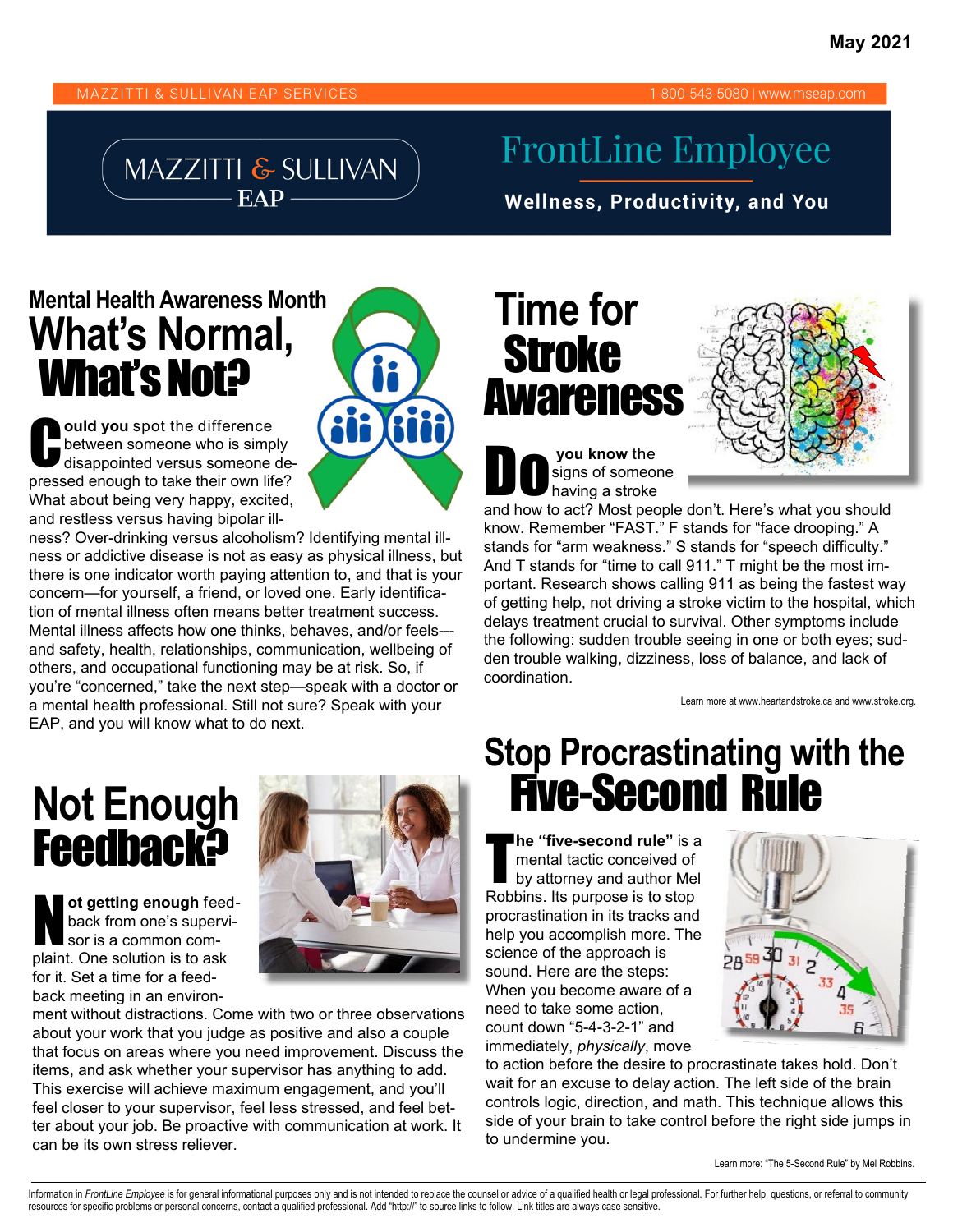#### MAZZITTI & SULLIVAN EAP SERVICES

#### 1-800-543-5080 | www.mseap.com

#### MAZZITTI & SULLIVAN EAP -

#### **FrontLine Employee**

**Wellness, Productivity, and You** 

#### **Mental Health Awareness Month What's Normal,**  What's Not?

**Ould you** spot the difference<br>between someone who is simp<br>disappointed versus someone between someone who is simply disappointed versus someone depressed enough to take their own life? What about being very happy, excited, and restless versus having bipolar ill-

ness? Over-drinking versus alcoholism? Identifying mental illness or addictive disease is not as easy as physical illness, but there is one indicator worth paying attention to, and that is your concern—for yourself, a friend, or loved one. Early identification of mental illness often means better treatment success. Mental illness affects how one thinks, behaves, and/or feels-- and safety, health, relationships, communication, wellbeing of others, and occupational functioning may be at risk. So, if you're "concerned," take the next step—speak with a doctor or a mental health professional. Still not sure? Speak with your EAP, and you will know what to do next.

# **Not Enough<br>Feedback?**

ot getting enough feed-<br>back from one's supervi-<br>sor is a common comback from one's supervisor is a common complaint. One solution is to ask for it. Set a time for a feedback meeting in an environ-



ment without distractions. Come with two or three observations about your work that you judge as positive and also a couple that focus on areas where you need improvement. Discuss the items, and ask whether your supervisor has anything to add. This exercise will achieve maximum engagement, and you'll feel closer to your supervisor, feel less stressed, and feel better about your job. Be proactive with communication at work. It can be its own stress reliever.

### **Time for** Stroke **Awareness**

**Do you know the signs of someon** signs of someone having a stroke



and how to act? Most people don't. Here's what you should know. Remember "FAST." F stands for "face drooping." A stands for "arm weakness." S stands for "speech difficulty." And T stands for "time to call 911." T might be the most important. Research shows calling 911 as being the fastest way of getting help, not driving a stroke victim to the hospital, which delays treatment crucial to survival. Other symptoms include the following: sudden trouble seeing in one or both eyes; sudden trouble walking, dizziness, loss of balance, and lack of coordination.

Learn more at www.heartandstroke.ca and www.stroke.org.

## **Stop Procrastinating with the**  Not Enough **Rule Assects** Five-Second Rule

**he "five-second rule"** is a<br>mental tactic conceived of<br>by attorney and author Mel mental tactic conceived of by attorney and author Mel Robbins. Its purpose is to stop procrastination in its tracks and help you accomplish more. The science of the approach is sound. Here are the steps: When you become aware of a need to take some action, count down "5-4-3-2-1" and immediately, *physically*, move



to action before the desire to procrastinate takes hold. Don't wait for an excuse to delay action. The left side of the brain controls logic, direction, and math. This technique allows this side of your brain to take control before the right side jumps in to undermine you.

Learn more: "The 5-Second Rule" by Mel Robbins.

Information in FrontLine Employee is for general informational purposes only and is not intended to replace the counsel or advice of a qualified health or legal professional. For further help, questions, or referral to com resources for specific problems or personal concerns, contact a qualified professional. Add "http://" to source links to follow. Link titles are always case sensitive.